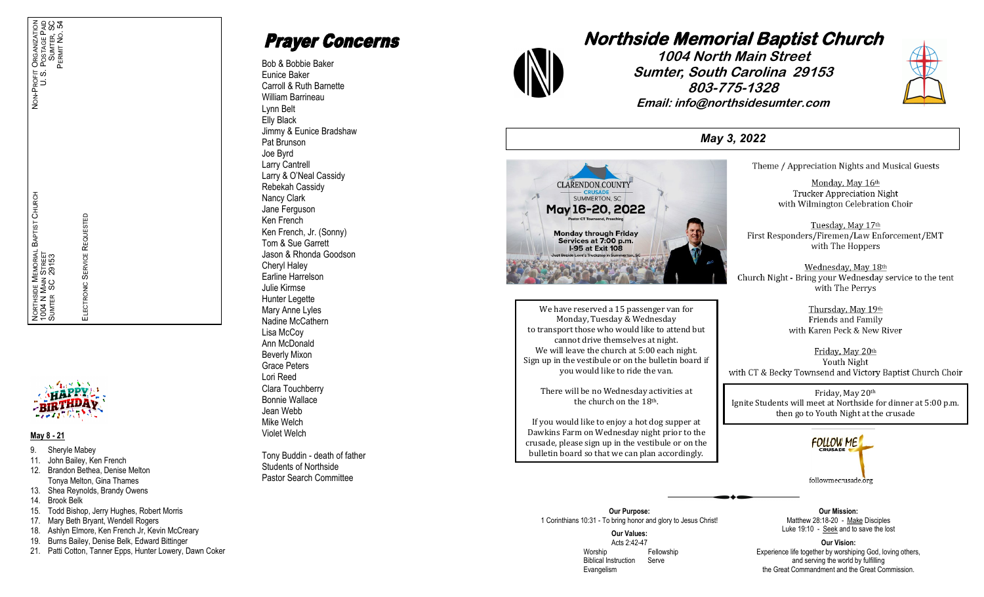

#### **May 8 - 21**

- 9. Sheryle Mabey
- 11. John Bailey, Ken French
- 12. Brandon Bethea, Denise Melton Tonya Melton, Gina Thames

ELECTRONIC SERVICE REQUESTED

**SERVICE** 

**TRONIC** 

ᆏ

REQUESTED

- 13. Shea Reynolds, Brandy Owens
- 14. Brook Belk
- 15. Todd Bishop, Jerry Hughes, Robert Morris
- 17. Mary Beth Bryant, Wendell Rogers
- 18. Ashlyn Elmore, Ken French Jr, Kevin McCreary
- 19. Burns Bailey, Denise Belk, Edward Bittinger
- 21. Patti Cotton, Tanner Epps, Hunter Lowery, Dawn Coker

**Prayer Concerns** 

Bob & Bobbie Baker Eunice Baker Carroll & Ruth Barnette William Barrineau Lynn Belt Elly Black Jimmy & Eunice Bradshaw Pat Brunson Joe Byrd Larry Cantrell Larry & O'Neal Cassidy Rebekah Cassidy Nancy Clark Jane Ferguson Ken French Ken French, Jr. (Sonny) Tom & Sue Garrett Jason & Rhonda Goodson Cheryl Haley Earline Harrelson Julie Kirmse Hunter Legette Mary Anne Lyles Nadine McCathern Lisa McCoy Ann McDonald Beverly Mixon Grace Peters Lori Reed Clara Touchberry Bonnie Wallace Jean Webb Mike Welch Violet Welch

Tony Buddin - death of father Students of Northside Pastor Search Committee



**1004 North Main Street Sumter, South Carolina 29153 803-775-1328 Email: info@northsidesumter.com**



*May 3, 2022*



We have reserved a 15 passenger van for Monday, Tuesday & Wednesday to transport those who would like to attend but cannot drive themselves at night. We will leave the church at 5:00 each night. Sign up in the vestibule or on the bulletin board if you would like to ride the van.

There will be no Wednesday activities at the church on the 18th.

If you would like to enjoy a hot dog supper at Dawkins Farm on Wednesday night prior to the crusade, please sign up in the vestibule or on the bulletin board so that we can plan accordingly.

Theme / Appreciation Nights and Musical Guests

Monday, May 16th **Trucker Appreciation Night** with Wilmington Celebration Choir

Tuesday, May 17th First Responders/Firemen/Law Enforcement/EMT with The Hoppers

Wednesday, May 18th Church Night - Bring your Wednesday service to the tent with The Perrys

> Thursday, May 19th Friends and Family with Karen Peck & New River

Friday, May 20th Youth Night with CT & Becky Townsend and Victory Baptist Church Choir

Friday, May 20th Ignite Students will meet at Northside for dinner at 5:00 p.m. then go to Youth Night at the crusade



**Our Purpose:** 1 Corinthians 10:31 - To bring honor and glory to Jesus Christ!

> **Our Values:** Acts 2:42 -47 Worship **Fellowship**  Biblical Instruction Serve Evangelism

**Our Mission:** Matthew 28:18-20 - Make Disciples Luke 19:10 - Seek and to save the lost

**Our Vision:** Experience life together by worshiping God, loving others, and serving the world by fulfilling the Great Commandment and the Great Commission.